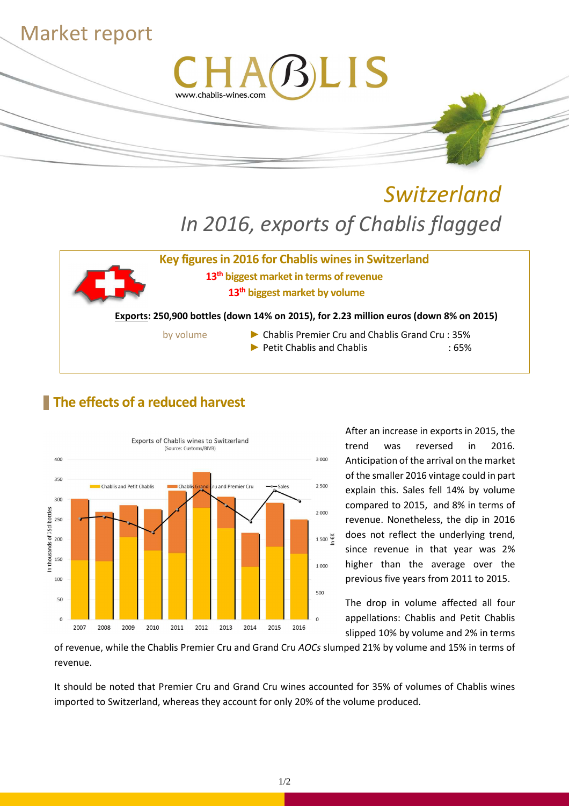

# *Switzerland In 2016, exports of Chablis flagged*



**Key figures in 2016 for Chablis wines in Switzerland 13th biggest market in terms of revenue 13th biggest market by volume** 

**Exports: 250,900 bottles (down 14% on 2015), for 2.23 million euros (down 8% on 2015)**

- 
- by volume ► Chablis Premier Cru and Chablis Grand Cru : 35% ► Petit Chablis and Chablis : 65%

## **The effects of a reduced harvest**



After an increase in exports in 2015, the trend was reversed in 2016. Anticipation of the arrival on the market of the smaller 2016 vintage could in part explain this. Sales fell 14% by volume compared to 2015, and 8% in terms of revenue. Nonetheless, the dip in 2016 does not reflect the underlying trend, since revenue in that year was 2% higher than the average over the previous five years from 2011 to 2015.

The drop in volume affected all four appellations: Chablis and Petit Chablis slipped 10% by volume and 2% in terms

of revenue, while the Chablis Premier Cru and Grand Cru *AOCs* slumped 21% by volume and 15% in terms of revenue.

It should be noted that Premier Cru and Grand Cru wines accounted for 35% of volumes of Chablis wines imported to Switzerland, whereas they account for only 20% of the volume produced.